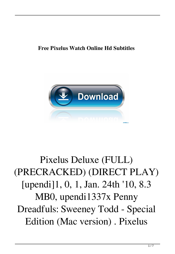## **Free Pixelus Watch Online Hd Subtitles**



## Pixelus Deluxe (FULL) (PRECRACKED) (DIRECT PLAY) [upendi]1, 0, 1, Jan. 24th '10, 8.3 MB0, upendi1337x Penny Dreadfuls: Sweeney Todd - Special Edition (Mac version) . Pixelus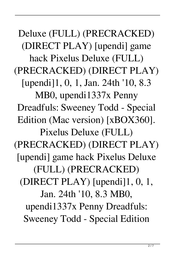Deluxe (FULL) (PRECRACKED) (DIRECT PLAY) [upendi] game hack Pixelus Deluxe (FULL) (PRECRACKED) (DIRECT PLAY) [upendi]1, 0, 1, Jan. 24th '10, 8.3 MB0, upendi1337x Penny Dreadfuls: Sweeney Todd - Special Edition (Mac version) [xBOX360]. Pixelus Deluxe (FULL) (PRECRACKED) (DIRECT PLAY) [upendi] game hack Pixelus Deluxe (FULL) (PRECRACKED) (DIRECT PLAY) [upendi]1, 0, 1, Jan. 24th '10, 8.3 MB0, upendi1337x Penny Dreadfuls: Sweeney Todd - Special Edition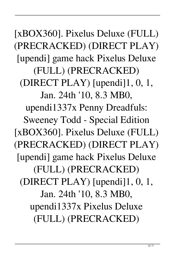[xBOX360]. Pixelus Deluxe (FULL) (PRECRACKED) (DIRECT PLAY) [upendi] game hack Pixelus Deluxe (FULL) (PRECRACKED) (DIRECT PLAY) [upendi]1, 0, 1, Jan. 24th '10, 8.3 MB0, upendi1337x Penny Dreadfuls: Sweeney Todd - Special Edition [xBOX360]. Pixelus Deluxe (FULL) (PRECRACKED) (DIRECT PLAY) [upendi] game hack Pixelus Deluxe (FULL) (PRECRACKED) (DIRECT PLAY) [upendi]1, 0, 1, Jan. 24th '10, 8.3 MB0, upendi1337x Pixelus Deluxe (FULL) (PRECRACKED)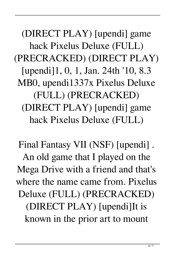(DIRECT PLAY) [upendi] game hack Pixelus Deluxe (FULL) (PRECRACKED) (DIRECT PLAY) [upendi]1, 0, 1, Jan. 24th '10, 8.3 MB0, upendi1337x Pixelus Deluxe (FULL) (PRECRACKED) (DIRECT PLAY) [upendi] game hack Pixelus Deluxe (FULL)

Final Fantasy VII (NSF) [upendi] . An old game that I played on the Mega Drive with a friend and that's where the name came from. Pixelus Deluxe (FULL) (PRECRACKED) (DIRECT PLAY) [upendi]It is known in the prior art to mount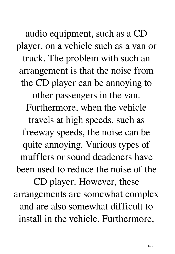audio equipment, such as a CD player, on a vehicle such as a van or truck. The problem with such an arrangement is that the noise from the CD player can be annoying to other passengers in the van. Furthermore, when the vehicle travels at high speeds, such as freeway speeds, the noise can be quite annoying. Various types of mufflers or sound deadeners have been used to reduce the noise of the CD player. However, these arrangements are somewhat complex and are also somewhat difficult to install in the vehicle. Furthermore,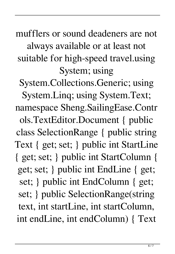mufflers or sound deadeners are not always available or at least not suitable for high-speed travel. using System; using

System.Collections.Generic; using System.Linq; using System.Text; namespace Sheng.SailingEase.Contr ols.TextEditor.Document { public class SelectionRange { public string Text { get; set; } public int StartLine { get; set; } public int StartColumn { get; set; } public int EndLine { get; set; } public int EndColumn { get; set; } public SelectionRange(string text, int startLine, int startColumn, int endLine, int endColumn) { Text